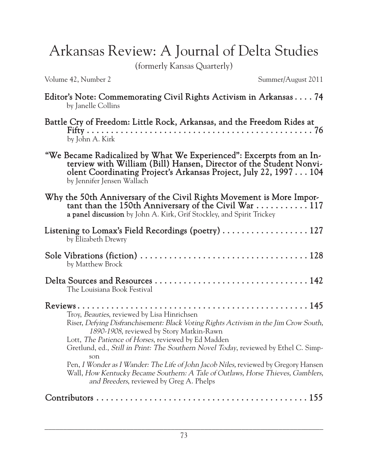Arkansas Review: A Journal of Delta Studies

(formerly Kansas Quarterly)

Volume 42, Number 2 Summer/August 2011

| Editor's Note: Commemorating Civil Rights Activism in Arkansas 74<br>by Janelle Collins                                                                                                                                                                                                                                                                                                                                                                                                                                                                    |
|------------------------------------------------------------------------------------------------------------------------------------------------------------------------------------------------------------------------------------------------------------------------------------------------------------------------------------------------------------------------------------------------------------------------------------------------------------------------------------------------------------------------------------------------------------|
| Battle Cry of Freedom: Little Rock, Arkansas, and the Freedom Rides at<br>by John A. Kirk                                                                                                                                                                                                                                                                                                                                                                                                                                                                  |
| "We Became Radicalized by What We Experienced": Excerpts from an In-<br>terview with William (Bill) Hansen, Director of the Student Nonvi-<br>olent Coordinating Project's Arkansas Project, July 22, 1997 104<br>by Jennifer Jensen Wallach                                                                                                                                                                                                                                                                                                               |
| Why the 50th Anniversary of the Civil Rights Movement is More Impor-<br>tant than the 150th Anniversary of the Civil War $\dots \dots \dots \dots 117$<br>a panel discussion by John A. Kirk, Grif Stockley, and Spirit Trickey                                                                                                                                                                                                                                                                                                                            |
| Listening to Lomax's Field Recordings (poetry)  127<br>by Elizabeth Drewry                                                                                                                                                                                                                                                                                                                                                                                                                                                                                 |
| by Matthew Brock                                                                                                                                                                                                                                                                                                                                                                                                                                                                                                                                           |
| The Louisiana Book Festival                                                                                                                                                                                                                                                                                                                                                                                                                                                                                                                                |
| Troy, Beauties, reviewed by Lisa Hinrichsen<br>Riser, Defying Disfranchisement: Black Voting Rights Activism in the Jim Crow South,<br>1890-1908, reviewed by Story Matkin-Rawn<br>Lott, The Patience of Horses, reviewed by Ed Madden<br>Gretlund, ed., Still in Print: The Southern Novel Today, reviewed by Ethel C. Simp-<br>son<br>Pen, I Wonder as I Wander: The Life of John Jacob Niles, reviewed by Gregory Hansen<br>Wall, How Kentucky Became Southern: A Tale of Outlaws, Horse Thieves, Gamblers,<br>and Breeders, reviewed by Greg A. Phelps |
|                                                                                                                                                                                                                                                                                                                                                                                                                                                                                                                                                            |